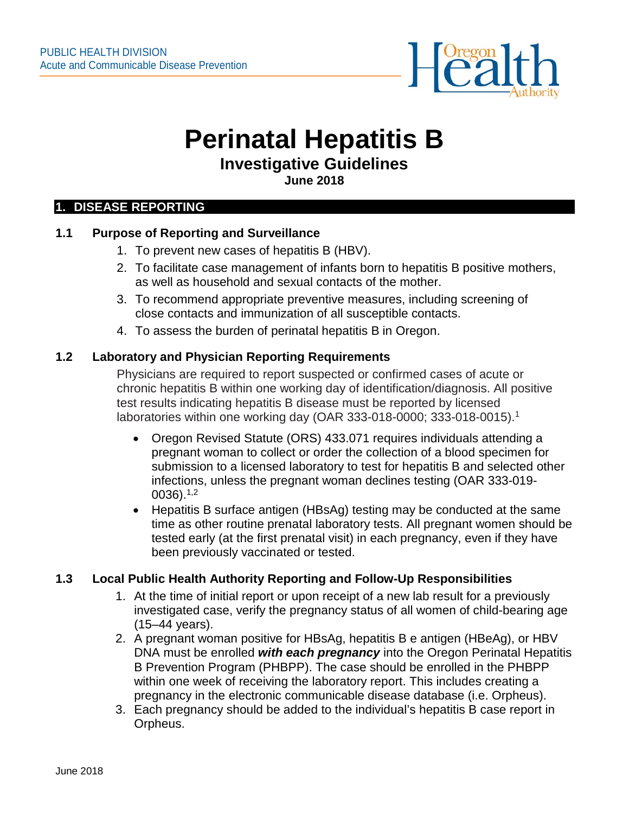

# **Perinatal Hepatitis B**

# **Investigative Guidelines**

**June 2018**

#### **1. DISEASE REPORTING**

#### **1.1 Purpose of Reporting and Surveillance**

- 1. To prevent new cases of hepatitis B (HBV).
- 2. To facilitate case management of infants born to hepatitis B positive mothers, as well as household and sexual contacts of the mother.
- 3. To recommend appropriate preventive measures, including screening of close contacts and immunization of all susceptible contacts.
- 4. To assess the burden of perinatal hepatitis B in Oregon.

#### **1.2 Laboratory and Physician Reporting Requirements**

Physicians are required to report suspected or confirmed cases of acute or chronic hepatitis B within one working day of identification/diagnosis. All positive test results indicating hepatitis B disease must be reported by licensed laboratories within one working day (OAR 333-018-0000; 333-018-0015).1

- Oregon Revised Statute (ORS) 433.071 requires individuals attending a pregnant woman to collect or order the collection of a blood specimen for submission to a licensed laboratory to test for hepatitis B and selected other infections, unless the pregnant woman declines testing (OAR 333-019-  $0036$ ). $1,2$
- Hepatitis B surface antigen (HBsAg) testing may be conducted at the same time as other routine prenatal laboratory tests. All pregnant women should be tested early (at the first prenatal visit) in each pregnancy, even if they have been previously vaccinated or tested.

## **1.3 Local Public Health Authority Reporting and Follow-Up Responsibilities**

- 1. At the time of initial report or upon receipt of a new lab result for a previously investigated case, verify the pregnancy status of all women of child-bearing age (15–44 years).
- 2. A pregnant woman positive for HBsAg, hepatitis B e antigen (HBeAg), or HBV DNA must be enrolled *with each pregnancy* into the Oregon Perinatal Hepatitis B Prevention Program (PHBPP). The case should be enrolled in the PHBPP within one week of receiving the laboratory report. This includes creating a pregnancy in the electronic communicable disease database (i.e. Orpheus).
- 3. Each pregnancy should be added to the individual's hepatitis B case report in Orpheus.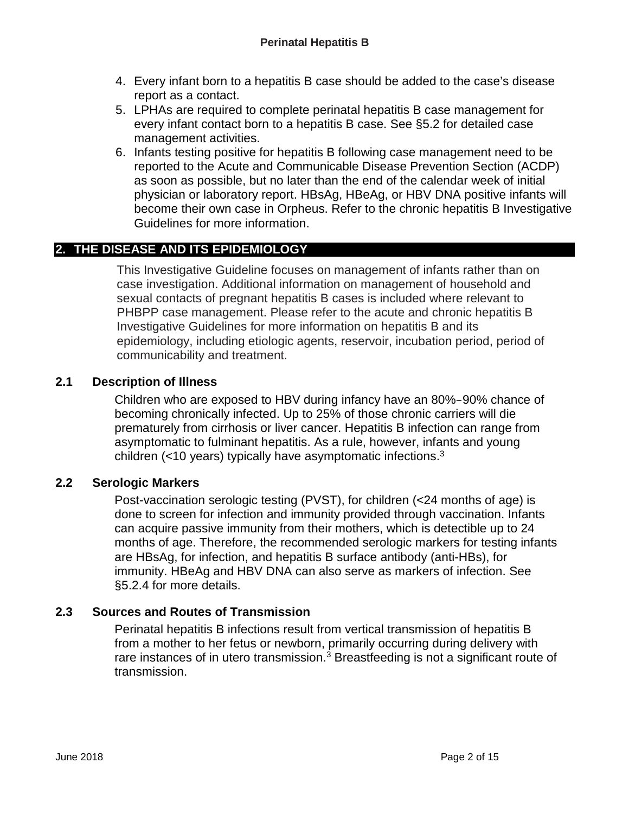- 4. Every infant born to a hepatitis B case should be added to the case's disease report as a contact.
- 5. LPHAs are required to complete perinatal hepatitis B case management for every infant contact born to a hepatitis B case. See §5.2 for detailed case management activities.
- 6. Infants testing positive for hepatitis B following case management need to be reported to the Acute and Communicable Disease Prevention Section (ACDP) as soon as possible, but no later than the end of the calendar week of initial physician or laboratory report. HBsAg, HBeAg, or HBV DNA positive infants will become their own case in Orpheus. Refer to the chronic hepatitis B Investigative Guidelines for more information.

# **2. THE DISEASE AND ITS EPIDEMIOLOGY**

This Investigative Guideline focuses on management of infants rather than on case investigation. Additional information on management of household and sexual contacts of pregnant hepatitis B cases is included where relevant to PHBPP case management. Please refer to the acute and chronic hepatitis B Investigative Guidelines for more information on hepatitis B and its epidemiology, including etiologic agents, reservoir, incubation period, period of communicability and treatment.

## **2.1 Description of Illness**

Children who are exposed to HBV during infancy have an 80%–90% chance of becoming chronically infected. Up to 25% of those chronic carriers will die prematurely from cirrhosis or liver cancer. Hepatitis B infection can range from asymptomatic to fulminant hepatitis. As a rule, however, infants and young children (<10 years) typically have asymptomatic infections.3

## **2.2 Serologic Markers**

Post-vaccination serologic testing (PVST), for children (<24 months of age) is done to screen for infection and immunity provided through vaccination. Infants can acquire passive immunity from their mothers, which is detectible up to 24 months of age. Therefore, the recommended serologic markers for testing infants are HBsAg, for infection, and hepatitis B surface antibody (anti-HBs), for immunity. HBeAg and HBV DNA can also serve as markers of infection. See §5.2.4 for more details.

## **2.3 Sources and Routes of Transmission**

Perinatal hepatitis B infections result from vertical transmission of hepatitis B from a mother to her fetus or newborn, primarily occurring during delivery with rare instances of in utero transmission.<sup>3</sup> Breastfeeding is not a significant route of transmission.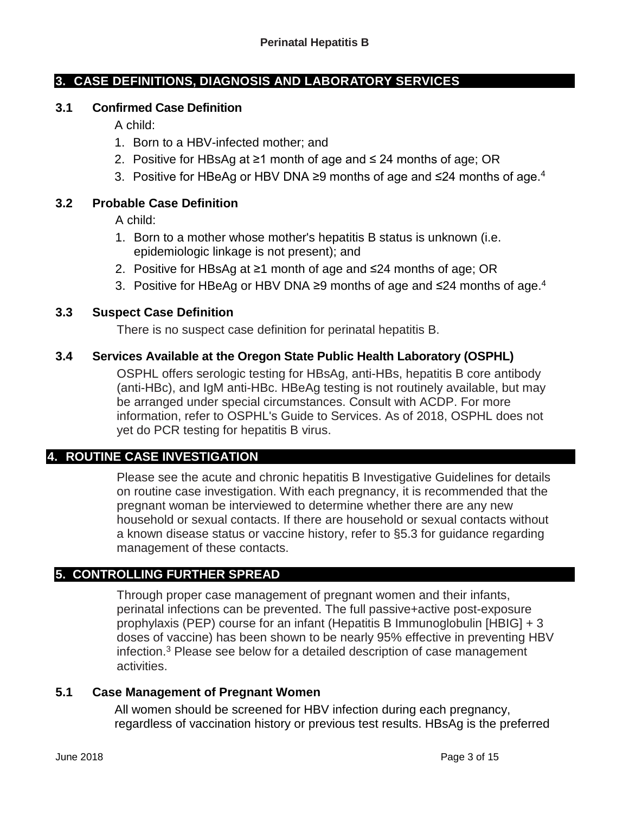#### **3. CASE DEFINITIONS, DIAGNOSIS AND LABORATORY SERVICES**

#### **3.1 Confirmed Case Definition**

A child:

- 1. Born to a HBV-infected mother; and
- 2. Positive for HBsAg at ≥1 month of age and ≤ 24 months of age; OR
- 3. Positive for HBeAg or HBV DNA ≥9 months of age and ≤24 months of age. 4

#### **3.2 Probable Case Definition**

A child:

- 1. Born to a mother whose mother's hepatitis B status is unknown (i.e. epidemiologic linkage is not present); and
- 2. Positive for HBsAg at ≥1 month of age and ≤24 months of age; OR
- 3. Positive for HBeAg or HBV DNA ≥9 months of age and ≤24 months of age. 4

#### **3.3 Suspect Case Definition**

There is no suspect case definition for perinatal hepatitis B.

#### **3.4 Services Available at the Oregon State Public Health Laboratory (OSPHL)**

OSPHL offers serologic testing for HBsAg, anti-HBs, hepatitis B core antibody (anti-HBc), and IgM anti-HBc. HBeAg testing is not routinely available, but may be arranged under special circumstances. Consult with ACDP. For more information, refer to OSPHL's Guide to Services. As of 2018, OSPHL does not yet do PCR testing for hepatitis B virus.

## **4. ROUTINE CASE INVESTIGATION**

Please see the acute and chronic hepatitis B Investigative Guidelines for details on routine case investigation. With each pregnancy, it is recommended that the pregnant woman be interviewed to determine whether there are any new household or sexual contacts. If there are household or sexual contacts without a known disease status or vaccine history, refer to §5.3 for guidance regarding management of these contacts.

#### **5. CONTROLLING FURTHER SPREAD**

Through proper case management of pregnant women and their infants, perinatal infections can be prevented. The full passive+active post-exposure prophylaxis (PEP) course for an infant (Hepatitis B Immunoglobulin [HBIG] + 3 doses of vaccine) has been shown to be nearly 95% effective in preventing HBV infection.3 Please see below for a detailed description of case management activities.

#### **5.1 Case Management of Pregnant Women**

All women should be screened for HBV infection during each pregnancy, regardless of vaccination history or previous test results. HBsAg is the preferred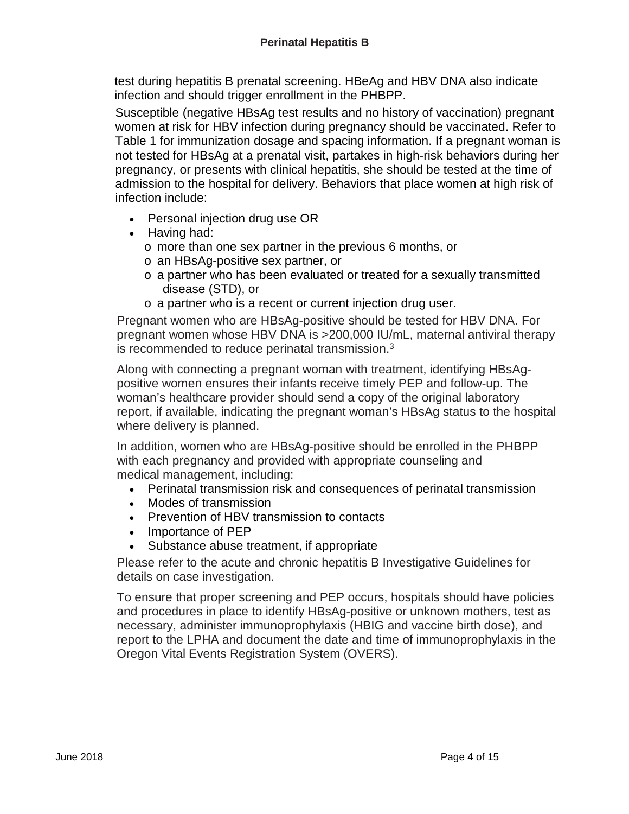test during hepatitis B prenatal screening. HBeAg and HBV DNA also indicate infection and should trigger enrollment in the PHBPP.

Susceptible (negative HBsAg test results and no history of vaccination) pregnant women at risk for HBV infection during pregnancy should be vaccinated. Refer to Table 1 for immunization dosage and spacing information. If a pregnant woman is not tested for HBsAg at a prenatal visit, partakes in high-risk behaviors during her pregnancy, or presents with clinical hepatitis, she should be tested at the time of admission to the hospital for delivery. Behaviors that place women at high risk of infection include:

- Personal injection drug use OR
- Having had:
	- o more than one sex partner in the previous 6 months, or
	- o an HBsAg-positive sex partner, or
	- o a partner who has been evaluated or treated for a sexually transmitted disease (STD), or
	- o a partner who is a recent or current injection drug user.

Pregnant women who are HBsAg-positive should be tested for HBV DNA. For pregnant women whose HBV DNA is >200,000 IU/mL, maternal antiviral therapy is recommended to reduce perinatal transmission.3

Along with connecting a pregnant woman with treatment, identifying HBsAgpositive women ensures their infants receive timely PEP and follow-up. The woman's healthcare provider should send a copy of the original laboratory report, if available, indicating the pregnant woman's HBsAg status to the hospital where delivery is planned.

In addition, women who are HBsAg-positive should be enrolled in the PHBPP with each pregnancy and provided with appropriate counseling and medical management, including:

- Perinatal transmission risk and consequences of perinatal transmission
- Modes of transmission
- Prevention of HBV transmission to contacts
- Importance of PEP
- Substance abuse treatment, if appropriate

Please refer to the acute and chronic hepatitis B Investigative Guidelines for details on case investigation.

To ensure that proper screening and PEP occurs, hospitals should have policies and procedures in place to identify HBsAg-positive or unknown mothers, test as necessary, administer immunoprophylaxis (HBIG and vaccine birth dose), and report to the LPHA and document the date and time of immunoprophylaxis in the Oregon Vital Events Registration System (OVERS).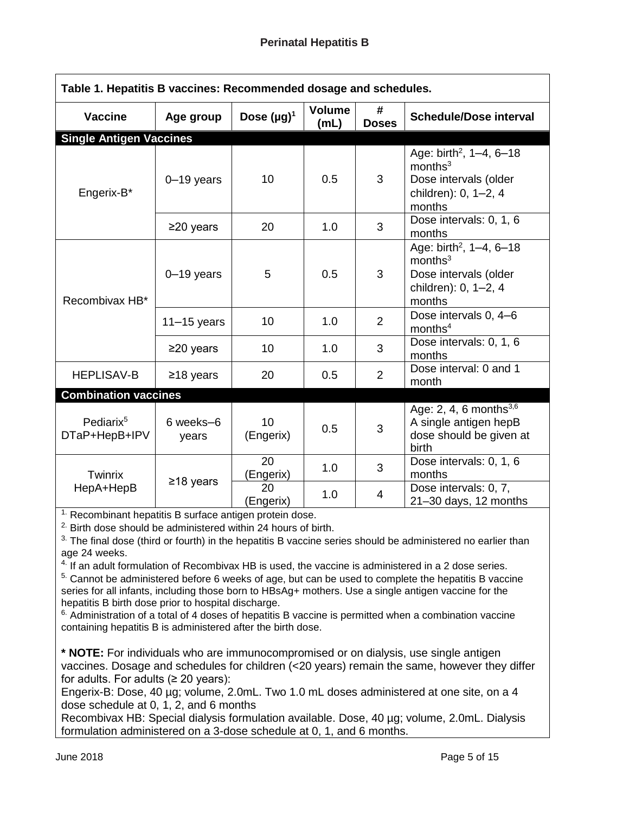| Table 1. Hepatitis B vaccines: Recommended dosage and schedules. |                    |                  |                       |                   |                                                                                                                       |  |  |  |
|------------------------------------------------------------------|--------------------|------------------|-----------------------|-------------------|-----------------------------------------------------------------------------------------------------------------------|--|--|--|
| <b>Vaccine</b>                                                   | Age group          | Dose $(\mu g)^1$ | <b>Volume</b><br>(mL) | #<br><b>Doses</b> | <b>Schedule/Dose interval</b>                                                                                         |  |  |  |
| <b>Single Antigen Vaccines</b>                                   |                    |                  |                       |                   |                                                                                                                       |  |  |  |
| Engerix-B*                                                       | $0 - 19$ years     | 10               | 0.5                   | 3                 | Age: birth <sup>2</sup> , 1-4, 6-18<br>months <sup>3</sup><br>Dose intervals (older<br>children): 0, 1-2, 4<br>months |  |  |  |
|                                                                  | $\geq$ 20 years    | 20               | 1.0                   | 3                 | Dose intervals: 0, 1, 6<br>months                                                                                     |  |  |  |
| Recombivax HB*                                                   | $0 - 19$ years     | 5                | 0.5                   | 3                 | Age: birth <sup>2</sup> , 1-4, 6-18<br>months <sup>3</sup><br>Dose intervals (older<br>children): 0, 1-2, 4<br>months |  |  |  |
|                                                                  | $11 - 15$ years    | 10               | 1.0                   | $\overline{2}$    | Dose intervals 0, 4-6<br>months <sup>4</sup>                                                                          |  |  |  |
|                                                                  | $\geq$ 20 years    | 10               | 1.0                   | 3                 | Dose intervals: 0, 1, 6<br>months                                                                                     |  |  |  |
| <b>HEPLISAV-B</b>                                                | $≥18$ years        | 20               | 0.5                   | $\overline{2}$    | Dose interval: 0 and 1<br>month                                                                                       |  |  |  |
| <b>Combination vaccines</b>                                      |                    |                  |                       |                   |                                                                                                                       |  |  |  |
| Pediarix <sup>5</sup><br>DTaP+HepB+IPV                           | 6 weeks-6<br>years | 10<br>(Engerix)  | 0.5                   | 3                 | Age: 2, 4, 6 months $^{3,6}$<br>A single antigen hepB<br>dose should be given at<br>birth                             |  |  |  |
| Twinrix<br>HepA+HepB                                             | ≥18 years          | 20<br>(Engerix)  | 1.0                   | 3                 | Dose intervals: 0, 1, 6<br>months                                                                                     |  |  |  |
|                                                                  |                    | 20<br>(Engerix)  | 1.0                   | 4                 | Dose intervals: 0, 7,<br>21-30 days, 12 months                                                                        |  |  |  |

 $1.$  Recombinant hepatitis B surface antigen protein dose.

<sup>2</sup> Birth dose should be administered within 24 hours of birth.

<sup>3.</sup> The final dose (third or fourth) in the hepatitis B vaccine series should be administered no earlier than age 24 weeks.

 $4.$  If an adult formulation of Recombivax HB is used, the vaccine is administered in a 2 dose series.

<sup>5.</sup> Cannot be administered before 6 weeks of age, but can be used to complete the hepatitis B vaccine series for all infants, including those born to HBsAg+ mothers. Use a single antigen vaccine for the hepatitis B birth dose prior to hospital discharge.

 $6.$  Administration of a total of 4 doses of hepatitis B vaccine is permitted when a combination vaccine containing hepatitis B is administered after the birth dose.

**\* NOTE:** For individuals who are immunocompromised or on dialysis, use single antigen vaccines. Dosage and schedules for children (<20 years) remain the same, however they differ for adults. For adults  $(≥ 20$  years):

Engerix-B: Dose, 40 µg; volume, 2.0mL. Two 1.0 mL doses administered at one site, on a 4 dose schedule at 0, 1, 2, and 6 months

Recombivax HB: Special dialysis formulation available. Dose, 40 µg; volume, 2.0mL. Dialysis formulation administered on a 3-dose schedule at 0, 1, and 6 months.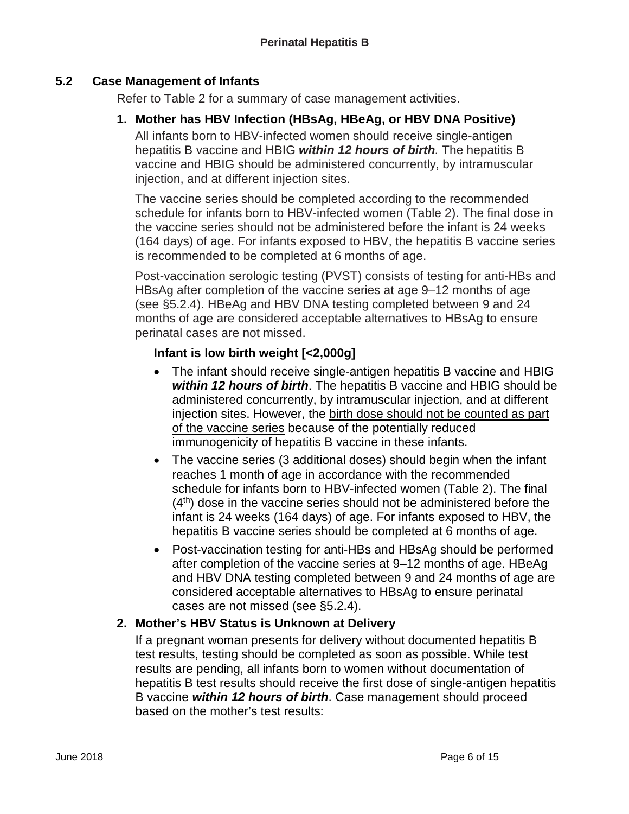## **5.2 Case Management of Infants**

Refer to Table 2 for a summary of case management activities.

## **1. Mother has HBV Infection (HBsAg, HBeAg, or HBV DNA Positive)**

All infants born to HBV-infected women should receive single-antigen hepatitis B vaccine and HBIG *within 12 hours of birth.* The hepatitis B vaccine and HBIG should be administered concurrently, by intramuscular injection, and at different injection sites.

The vaccine series should be completed according to the recommended schedule for infants born to HBV-infected women (Table 2). The final dose in the vaccine series should not be administered before the infant is 24 weeks (164 days) of age. For infants exposed to HBV, the hepatitis B vaccine series is recommended to be completed at 6 months of age.

Post-vaccination serologic testing (PVST) consists of testing for anti-HBs and HBsAg after completion of the vaccine series at age 9–12 months of age (see §5.2.4). HBeAg and HBV DNA testing completed between 9 and 24 months of age are considered acceptable alternatives to HBsAg to ensure perinatal cases are not missed.

## **Infant is low birth weight [<2,000g]**

- The infant should receive single-antigen hepatitis B vaccine and HBIG *within 12 hours of birth*. The hepatitis B vaccine and HBIG should be administered concurrently, by intramuscular injection, and at different injection sites. However, the birth dose should not be counted as part of the vaccine series because of the potentially reduced immunogenicity of hepatitis B vaccine in these infants.
- The vaccine series (3 additional doses) should begin when the infant reaches 1 month of age in accordance with the recommended schedule for infants born to HBV-infected women (Table 2). The final  $(4<sup>th</sup>)$  dose in the vaccine series should not be administered before the infant is 24 weeks (164 days) of age. For infants exposed to HBV, the hepatitis B vaccine series should be completed at 6 months of age.
- Post-vaccination testing for anti-HBs and HBsAg should be performed after completion of the vaccine series at 9–12 months of age. HBeAg and HBV DNA testing completed between 9 and 24 months of age are considered acceptable alternatives to HBsAg to ensure perinatal cases are not missed (see §5.2.4).

## **2. Mother's HBV Status is Unknown at Delivery**

If a pregnant woman presents for delivery without documented hepatitis B test results, testing should be completed as soon as possible. While test results are pending, all infants born to women without documentation of hepatitis B test results should receive the first dose of single-antigen hepatitis B vaccine *within 12 hours of birth*. Case management should proceed based on the mother's test results: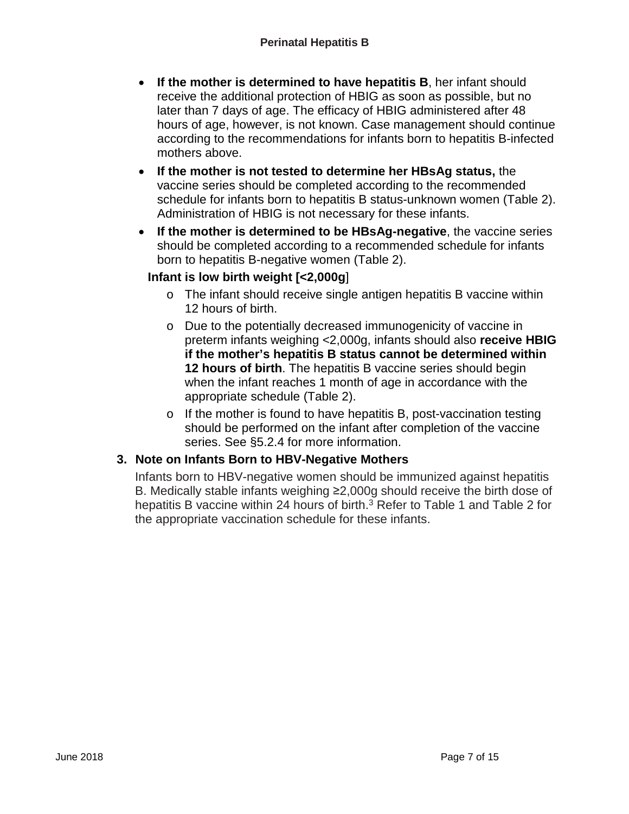- **If the mother is determined to have hepatitis B**, her infant should receive the additional protection of HBIG as soon as possible, but no later than 7 days of age. The efficacy of HBIG administered after 48 hours of age, however, is not known. Case management should continue according to the recommendations for infants born to hepatitis B-infected mothers above.
- **If the mother is not tested to determine her HBsAg status,** the vaccine series should be completed according to the recommended schedule for infants born to hepatitis B status-unknown women (Table 2). Administration of HBIG is not necessary for these infants.
- **If the mother is determined to be HBsAg-negative**, the vaccine series should be completed according to a recommended schedule for infants born to hepatitis B-negative women (Table 2).

## **Infant is low birth weight [<2,000g**]

- o The infant should receive single antigen hepatitis B vaccine within 12 hours of birth.
- o Due to the potentially decreased immunogenicity of vaccine in preterm infants weighing <2,000g, infants should also **receive HBIG if the mother's hepatitis B status cannot be determined within 12 hours of birth**. The hepatitis B vaccine series should begin when the infant reaches 1 month of age in accordance with the appropriate schedule (Table 2).
- o If the mother is found to have hepatitis B, post-vaccination testing should be performed on the infant after completion of the vaccine series. See §5.2.4 for more information.

# **3. Note on Infants Born to HBV-Negative Mothers**

Infants born to HBV-negative women should be immunized against hepatitis B. Medically stable infants weighing ≥2,000g should receive the birth dose of hepatitis B vaccine within 24 hours of birth.<sup>3</sup> Refer to Table 1 and Table 2 for the appropriate vaccination schedule for these infants.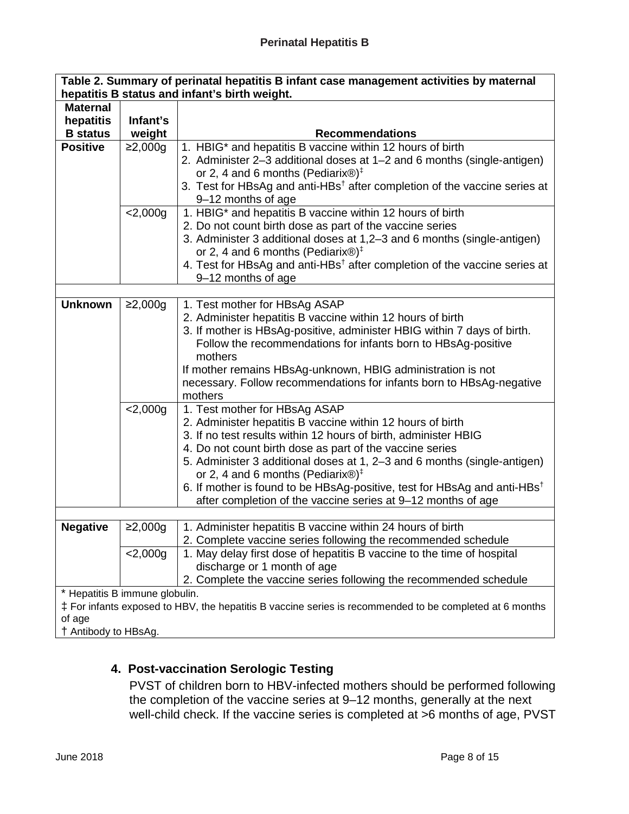| Table 2. Summary of perinatal hepatitis B infant case management activities by maternal<br>hepatitis B status and infant's birth weight. |             |                                                                                                                                                      |  |  |  |  |  |
|------------------------------------------------------------------------------------------------------------------------------------------|-------------|------------------------------------------------------------------------------------------------------------------------------------------------------|--|--|--|--|--|
| <b>Maternal</b>                                                                                                                          |             |                                                                                                                                                      |  |  |  |  |  |
| hepatitis                                                                                                                                | Infant's    |                                                                                                                                                      |  |  |  |  |  |
| <b>B</b> status                                                                                                                          | weight      | <b>Recommendations</b>                                                                                                                               |  |  |  |  |  |
| <b>Positive</b>                                                                                                                          | ≥2,000g     | 1. HBIG* and hepatitis B vaccine within 12 hours of birth                                                                                            |  |  |  |  |  |
|                                                                                                                                          |             | 2. Administer 2-3 additional doses at 1-2 and 6 months (single-antigen)                                                                              |  |  |  |  |  |
|                                                                                                                                          |             | or 2, 4 and 6 months (Pediarix $\circledR)^{\ddagger}$                                                                                               |  |  |  |  |  |
|                                                                                                                                          |             | 3. Test for HBsAg and anti-HBs <sup>†</sup> after completion of the vaccine series at                                                                |  |  |  |  |  |
|                                                                                                                                          |             | 9-12 months of age                                                                                                                                   |  |  |  |  |  |
|                                                                                                                                          | 2,000g      | 1. HBIG* and hepatitis B vaccine within 12 hours of birth<br>2. Do not count birth dose as part of the vaccine series                                |  |  |  |  |  |
|                                                                                                                                          |             | 3. Administer 3 additional doses at 1,2-3 and 6 months (single-antigen)                                                                              |  |  |  |  |  |
|                                                                                                                                          |             | or 2, 4 and 6 months (Pediarix $\circledR)^{\ddagger}$                                                                                               |  |  |  |  |  |
|                                                                                                                                          |             | 4. Test for HBsAg and anti-HBs <sup>†</sup> after completion of the vaccine series at                                                                |  |  |  |  |  |
|                                                                                                                                          |             | 9-12 months of age                                                                                                                                   |  |  |  |  |  |
|                                                                                                                                          |             |                                                                                                                                                      |  |  |  |  |  |
| <b>Unknown</b>                                                                                                                           | ≥2,000g     | 1. Test mother for HBsAg ASAP                                                                                                                        |  |  |  |  |  |
|                                                                                                                                          |             | 2. Administer hepatitis B vaccine within 12 hours of birth                                                                                           |  |  |  |  |  |
|                                                                                                                                          |             | 3. If mother is HBsAg-positive, administer HBIG within 7 days of birth.                                                                              |  |  |  |  |  |
|                                                                                                                                          |             | Follow the recommendations for infants born to HBsAg-positive                                                                                        |  |  |  |  |  |
|                                                                                                                                          |             | mothers                                                                                                                                              |  |  |  |  |  |
|                                                                                                                                          |             | If mother remains HBsAg-unknown, HBIG administration is not                                                                                          |  |  |  |  |  |
|                                                                                                                                          |             | necessary. Follow recommendations for infants born to HBsAg-negative                                                                                 |  |  |  |  |  |
|                                                                                                                                          |             | mothers                                                                                                                                              |  |  |  |  |  |
|                                                                                                                                          | 2,000g      | 1. Test mother for HBsAg ASAP                                                                                                                        |  |  |  |  |  |
|                                                                                                                                          |             | 2. Administer hepatitis B vaccine within 12 hours of birth                                                                                           |  |  |  |  |  |
|                                                                                                                                          |             | 3. If no test results within 12 hours of birth, administer HBIG                                                                                      |  |  |  |  |  |
|                                                                                                                                          |             | 4. Do not count birth dose as part of the vaccine series                                                                                             |  |  |  |  |  |
|                                                                                                                                          |             | 5. Administer 3 additional doses at 1, 2-3 and 6 months (single-antigen)                                                                             |  |  |  |  |  |
|                                                                                                                                          |             | or 2, 4 and 6 months (Pediarix $\circledR)^{\ddagger}$                                                                                               |  |  |  |  |  |
|                                                                                                                                          |             | 6. If mother is found to be HBsAg-positive, test for HBsAg and anti-HBs <sup>†</sup><br>after completion of the vaccine series at 9-12 months of age |  |  |  |  |  |
|                                                                                                                                          |             |                                                                                                                                                      |  |  |  |  |  |
| <b>Negative</b>                                                                                                                          | ≥2,000q     | 1. Administer hepatitis B vaccine within 24 hours of birth                                                                                           |  |  |  |  |  |
|                                                                                                                                          |             | 2. Complete vaccine series following the recommended schedule                                                                                        |  |  |  |  |  |
|                                                                                                                                          | $< 2,000$ g | 1. May delay first dose of hepatitis B vaccine to the time of hospital                                                                               |  |  |  |  |  |
|                                                                                                                                          |             | discharge or 1 month of age                                                                                                                          |  |  |  |  |  |
|                                                                                                                                          |             | 2. Complete the vaccine series following the recommended schedule                                                                                    |  |  |  |  |  |
| * Hepatitis B immune globulin.                                                                                                           |             |                                                                                                                                                      |  |  |  |  |  |
| ‡ For infants exposed to HBV, the hepatitis B vaccine series is recommended to be completed at 6 months                                  |             |                                                                                                                                                      |  |  |  |  |  |
| of age                                                                                                                                   |             |                                                                                                                                                      |  |  |  |  |  |
| † Antibody to HBsAg.                                                                                                                     |             |                                                                                                                                                      |  |  |  |  |  |

# **4. Post-vaccination Serologic Testing**

PVST of children born to HBV-infected mothers should be performed following the completion of the vaccine series at 9–12 months, generally at the next well-child check. If the vaccine series is completed at >6 months of age, PVST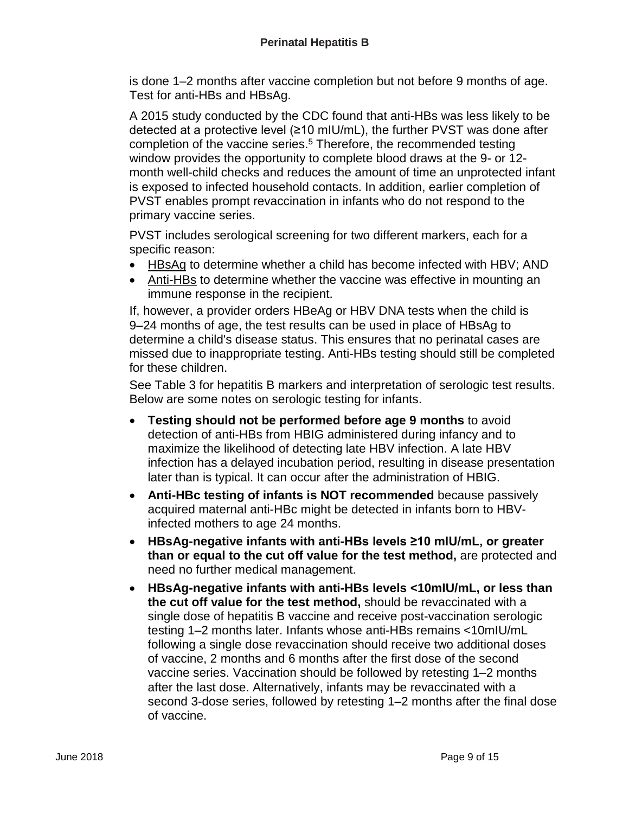is done 1–2 months after vaccine completion but not before 9 months of age. Test for anti-HBs and HBsAg.

A 2015 study conducted by the CDC found that anti-HBs was less likely to be detected at a protective level (≥10 mIU/mL), the further PVST was done after completion of the vaccine series.<sup>5</sup> Therefore, the recommended testing window provides the opportunity to complete blood draws at the 9- or 12 month well-child checks and reduces the amount of time an unprotected infant is exposed to infected household contacts. In addition, earlier completion of PVST enables prompt revaccination in infants who do not respond to the primary vaccine series.

PVST includes serological screening for two different markers, each for a specific reason:

- HBsAg to determine whether a child has become infected with HBV; AND
- Anti-HBs to determine whether the vaccine was effective in mounting an immune response in the recipient.

If, however, a provider orders HBeAg or HBV DNA tests when the child is 9–24 months of age, the test results can be used in place of HBsAg to determine a child's disease status. This ensures that no perinatal cases are missed due to inappropriate testing. Anti-HBs testing should still be completed for these children.

See Table 3 for hepatitis B markers and interpretation of serologic test results. Below are some notes on serologic testing for infants.

- **Testing should not be performed before age 9 months** to avoid detection of anti-HBs from HBIG administered during infancy and to maximize the likelihood of detecting late HBV infection. A late HBV infection has a delayed incubation period, resulting in disease presentation later than is typical. It can occur after the administration of HBIG.
- **Anti-HBc testing of infants is NOT recommended** because passively acquired maternal anti-HBc might be detected in infants born to HBVinfected mothers to age 24 months.
- **HBsAg-negative infants with anti-HBs levels ≥10 mIU/mL, or greater than or equal to the cut off value for the test method,** are protected and need no further medical management.
- **HBsAg-negative infants with anti-HBs levels <10mIU/mL, or less than the cut off value for the test method,** should be revaccinated with a single dose of hepatitis B vaccine and receive post-vaccination serologic testing 1–2 months later. Infants whose anti-HBs remains <10mIU/mL following a single dose revaccination should receive two additional doses of vaccine, 2 months and 6 months after the first dose of the second vaccine series. Vaccination should be followed by retesting 1–2 months after the last dose. Alternatively, infants may be revaccinated with a second 3-dose series, followed by retesting 1–2 months after the final dose of vaccine.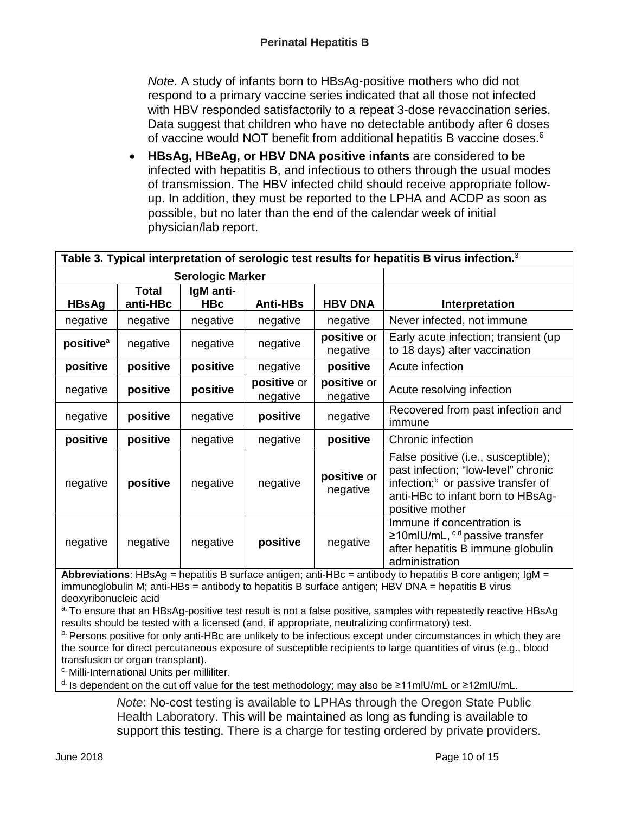*Note*. A study of infants born to HBsAg-positive mothers who did not respond to a primary vaccine series indicated that all those not infected with HBV responded satisfactorily to a repeat 3-dose revaccination series. Data suggest that children who have no detectable antibody after 6 doses of vaccine would NOT benefit from additional hepatitis B vaccine doses.6

• **HBsAg, HBeAg, or HBV DNA positive infants** are considered to be infected with hepatitis B, and infectious to others through the usual modes of transmission. The HBV infected child should receive appropriate followup. In addition, they must be reported to the LPHA and ACDP as soon as possible, but no later than the end of the calendar week of initial physician/lab report.

| Table 3. Typical interpretation of serologic test results for hepatitis B virus infection. $^3$ |                          |                         |                         |                         |                                                                                                                                                                                      |  |  |  |
|-------------------------------------------------------------------------------------------------|--------------------------|-------------------------|-------------------------|-------------------------|--------------------------------------------------------------------------------------------------------------------------------------------------------------------------------------|--|--|--|
|                                                                                                 |                          | <b>Serologic Marker</b> |                         |                         |                                                                                                                                                                                      |  |  |  |
| <b>HBsAg</b>                                                                                    | <b>Total</b><br>anti-HBc | IgM anti-<br><b>HBc</b> | <b>Anti-HBs</b>         | <b>HBV DNA</b>          | Interpretation                                                                                                                                                                       |  |  |  |
| negative                                                                                        | negative                 | negative                | negative                | negative                | Never infected, not immune                                                                                                                                                           |  |  |  |
| positive <sup>a</sup>                                                                           | negative                 | negative                | negative                | positive or<br>negative | Early acute infection; transient (up)<br>to 18 days) after vaccination                                                                                                               |  |  |  |
| positive                                                                                        | positive                 | positive                | negative                | positive                | Acute infection                                                                                                                                                                      |  |  |  |
| negative                                                                                        | positive                 | positive                | positive or<br>negative | positive or<br>negative | Acute resolving infection                                                                                                                                                            |  |  |  |
| negative                                                                                        | positive                 | negative                | positive                | negative                | Recovered from past infection and<br>immune                                                                                                                                          |  |  |  |
| positive                                                                                        | positive                 | negative                | negative                | positive                | Chronic infection                                                                                                                                                                    |  |  |  |
| negative                                                                                        | positive                 | negative                | negative                | positive or<br>negative | False positive (i.e., susceptible);<br>past infection; "low-level" chronic<br>infection; <sup>b</sup> or passive transfer of<br>anti-HBc to infant born to HBsAg-<br>positive mother |  |  |  |
| negative                                                                                        | negative                 | negative                | positive                | negative                | Immune if concentration is<br>$\geq$ 10mlU/mL, <sup>cd</sup> passive transfer<br>after hepatitis B immune globulin<br>administration                                                 |  |  |  |

**Abbreviations**: HBsAg = hepatitis B surface antigen; anti-HBc = antibody to hepatitis B core antigen; IgM = immunoglobulin M; anti-HBs = antibody to hepatitis B surface antigen; HBV DNA = hepatitis B virus deoxyribonucleic acid

<sup>a.</sup> To ensure that an HBsAg-positive test result is not a false positive, samples with repeatedly reactive HBsAg results should be tested with a licensed (and, if appropriate, neutralizing confirmatory) test.

b. Persons positive for only anti-HBc are unlikely to be infectious except under circumstances in which they are the source for direct percutaneous exposure of susceptible recipients to large quantities of virus (e.g., blood transfusion or organ transplant).

c. Milli-International Units per milliliter.

d. Is dependent on the cut off value for the test methodology; may also be ≥11mlU/mL or ≥12mlU/mL.

*Note*: No-cost testing is available to LPHAs through the Oregon State Public Health Laboratory. This will be maintained as long as funding is available to support this testing. There is a charge for testing ordered by private providers.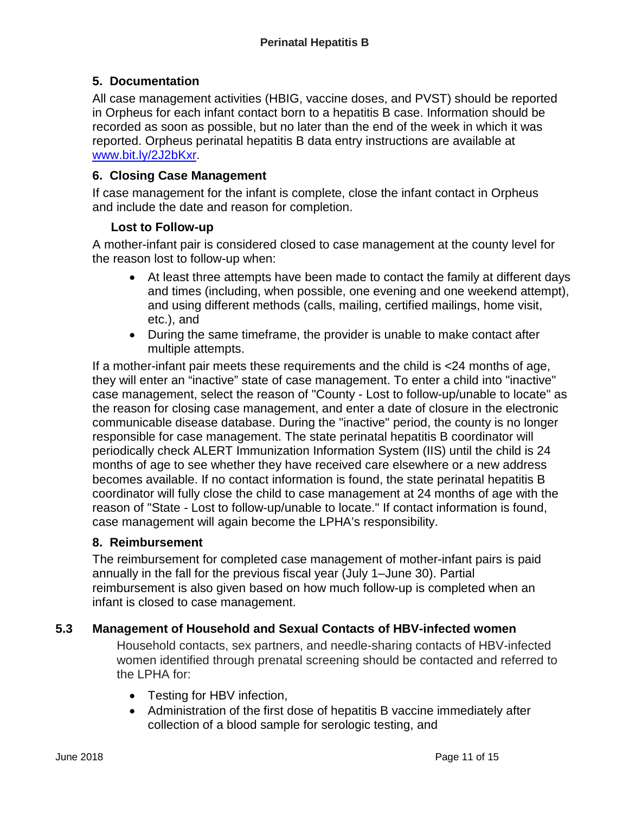# **5. Documentation**

All case management activities (HBIG, vaccine doses, and PVST) should be reported in Orpheus for each infant contact born to a hepatitis B case. Information should be recorded as soon as possible, but no later than the end of the week in which it was reported. Orpheus perinatal hepatitis B data entry instructions are available at [www.bit.ly/2J2bKxr.](http://www.bit.ly/2J2bKxr)

## **6. Closing Case Management**

If case management for the infant is complete, close the infant contact in Orpheus and include the date and reason for completion.

## **Lost to Follow-up**

A mother-infant pair is considered closed to case management at the county level for the reason lost to follow-up when:

- At least three attempts have been made to contact the family at different days and times (including, when possible, one evening and one weekend attempt), and using different methods (calls, mailing, certified mailings, home visit, etc.), and
- During the same timeframe, the provider is unable to make contact after multiple attempts.

If a mother-infant pair meets these requirements and the child is <24 months of age, they will enter an "inactive" state of case management. To enter a child into "inactive" case management, select the reason of "County - Lost to follow-up/unable to locate" as the reason for closing case management, and enter a date of closure in the electronic communicable disease database. During the "inactive" period, the county is no longer responsible for case management. The state perinatal hepatitis B coordinator will periodically check ALERT Immunization Information System (IIS) until the child is 24 months of age to see whether they have received care elsewhere or a new address becomes available. If no contact information is found, the state perinatal hepatitis B coordinator will fully close the child to case management at 24 months of age with the reason of "State - Lost to follow-up/unable to locate." If contact information is found, case management will again become the LPHA's responsibility.

## **8. Reimbursement**

The reimbursement for completed case management of mother-infant pairs is paid annually in the fall for the previous fiscal year (July 1–June 30). Partial reimbursement is also given based on how much follow-up is completed when an infant is closed to case management.

# **5.3 Management of Household and Sexual Contacts of HBV-infected women**

Household contacts, sex partners, and needle-sharing contacts of HBV-infected women identified through prenatal screening should be contacted and referred to the LPHA for:

- Testing for HBV infection,
- Administration of the first dose of hepatitis B vaccine immediately after collection of a blood sample for serologic testing, and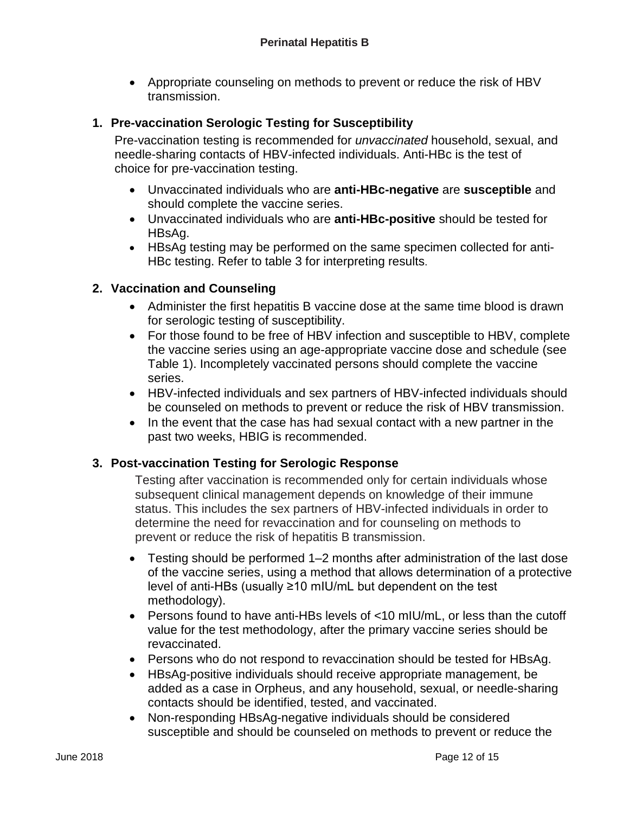• Appropriate counseling on methods to prevent or reduce the risk of HBV transmission.

# **1. Pre-vaccination Serologic Testing for Susceptibility**

Pre-vaccination testing is recommended for *unvaccinated* household, sexual, and needle-sharing contacts of HBV-infected individuals. Anti-HBc is the test of choice for pre-vaccination testing.

- Unvaccinated individuals who are **anti-HBc-negative** are **susceptible** and should complete the vaccine series.
- Unvaccinated individuals who are **anti-HBc-positive** should be tested for HBsAg.
- HBsAg testing may be performed on the same specimen collected for anti-HBc testing. Refer to table 3 for interpreting results.

## **2. Vaccination and Counseling**

- Administer the first hepatitis B vaccine dose at the same time blood is drawn for serologic testing of susceptibility.
- For those found to be free of HBV infection and susceptible to HBV, complete the vaccine series using an age-appropriate vaccine dose and schedule (see Table 1). Incompletely vaccinated persons should complete the vaccine series.
- HBV-infected individuals and sex partners of HBV-infected individuals should be counseled on methods to prevent or reduce the risk of HBV transmission.
- In the event that the case has had sexual contact with a new partner in the past two weeks, HBIG is recommended.

# **3. Post-vaccination Testing for Serologic Response**

Testing after vaccination is recommended only for certain individuals whose subsequent clinical management depends on knowledge of their immune status. This includes the sex partners of HBV-infected individuals in order to determine the need for revaccination and for counseling on methods to prevent or reduce the risk of hepatitis B transmission.

- Testing should be performed 1–2 months after administration of the last dose of the vaccine series, using a method that allows determination of a protective level of anti-HBs (usually ≥10 mIU/mL but dependent on the test methodology).
- Persons found to have anti-HBs levels of <10 mIU/mL, or less than the cutoff value for the test methodology, after the primary vaccine series should be revaccinated.
- Persons who do not respond to revaccination should be tested for HBsAg.
- HBsAg-positive individuals should receive appropriate management, be added as a case in Orpheus, and any household, sexual, or needle-sharing contacts should be identified, tested, and vaccinated.
- Non-responding HBsAg-negative individuals should be considered susceptible and should be counseled on methods to prevent or reduce the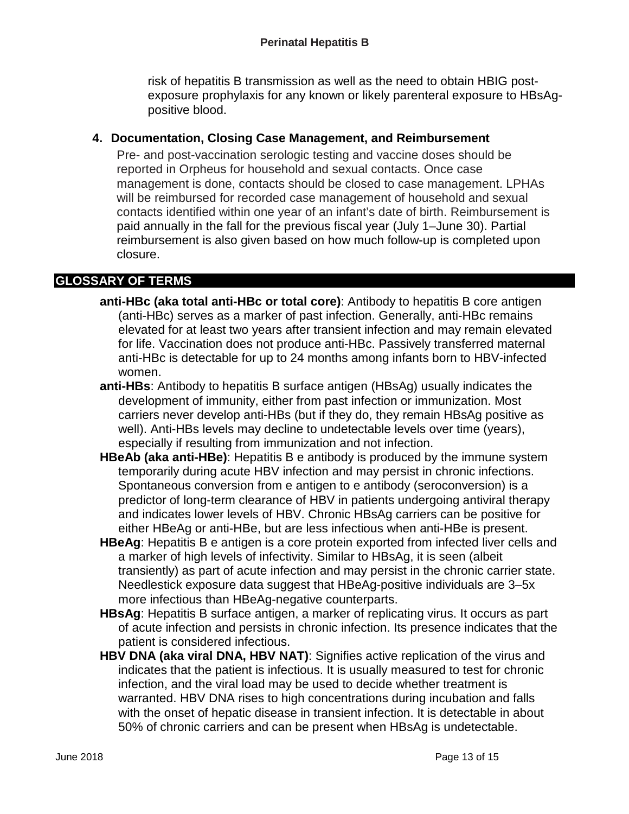risk of hepatitis B transmission as well as the need to obtain HBIG postexposure prophylaxis for any known or likely parenteral exposure to HBsAgpositive blood.

## **4. Documentation, Closing Case Management, and Reimbursement**

Pre- and post-vaccination serologic testing and vaccine doses should be reported in Orpheus for household and sexual contacts. Once case management is done, contacts should be closed to case management. LPHAs will be reimbursed for recorded case management of household and sexual contacts identified within one year of an infant's date of birth. Reimbursement is paid annually in the fall for the previous fiscal year (July 1–June 30). Partial reimbursement is also given based on how much follow-up is completed upon closure.

## **GLOSSARY OF TERMS**

- **anti-HBc (aka total anti-HBc or total core)**: Antibody to hepatitis B core antigen (anti-HBc) serves as a marker of past infection. Generally, anti-HBc remains elevated for at least two years after transient infection and may remain elevated for life. Vaccination does not produce anti-HBc. Passively transferred maternal anti-HBc is detectable for up to 24 months among infants born to HBV-infected women.
- **anti-HBs**: Antibody to hepatitis B surface antigen (HBsAg) usually indicates the development of immunity, either from past infection or immunization. Most carriers never develop anti-HBs (but if they do, they remain HBsAg positive as well). Anti-HBs levels may decline to undetectable levels over time (years), especially if resulting from immunization and not infection.
- **HBeAb (aka anti-HBe)**: Hepatitis B e antibody is produced by the immune system temporarily during acute HBV infection and may persist in chronic infections. Spontaneous conversion from e antigen to e antibody (seroconversion) is a predictor of long-term clearance of HBV in patients undergoing antiviral therapy and indicates lower levels of HBV. Chronic HBsAg carriers can be positive for either HBeAg or anti-HBe, but are less infectious when anti-HBe is present.
- **HBeAg**: Hepatitis B e antigen is a core protein exported from infected liver cells and a marker of high levels of infectivity. Similar to HBsAg, it is seen (albeit transiently) as part of acute infection and may persist in the chronic carrier state. Needlestick exposure data suggest that HBeAg-positive individuals are 3–5x more infectious than HBeAg-negative counterparts.
- **HBsAg**: Hepatitis B surface antigen, a marker of replicating virus. It occurs as part of acute infection and persists in chronic infection. Its presence indicates that the patient is considered infectious.
- **HBV DNA (aka viral DNA, HBV NAT)**: Signifies active replication of the virus and indicates that the patient is infectious. It is usually measured to test for chronic infection, and the viral load may be used to decide whether treatment is warranted. HBV DNA rises to high concentrations during incubation and falls with the onset of hepatic disease in transient infection. It is detectable in about 50% of chronic carriers and can be present when HBsAg is undetectable.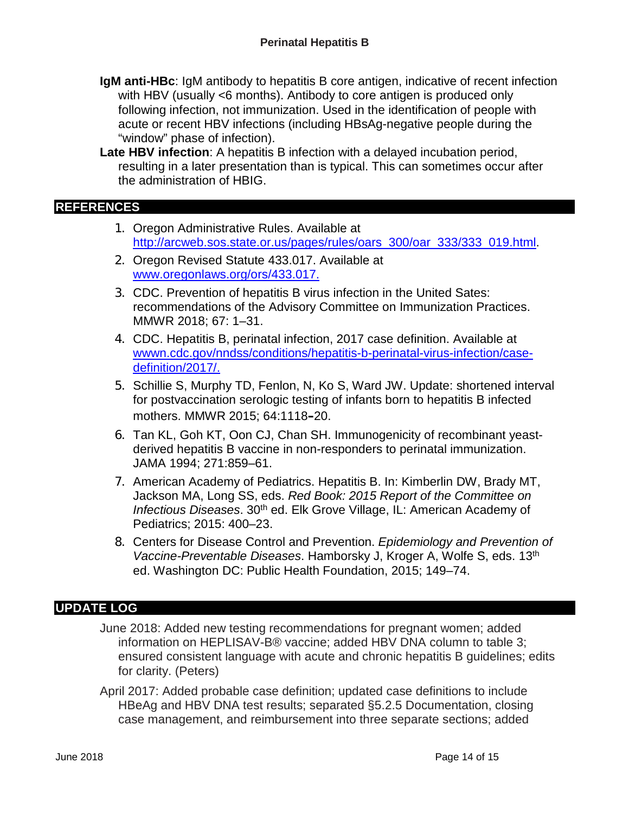- **IgM anti-HBc**: IgM antibody to hepatitis B core antigen, indicative of recent infection with HBV (usually <6 months). Antibody to core antigen is produced only following infection, not immunization. Used in the identification of people with acute or recent HBV infections (including HBsAg-negative people during the "window" phase of infection).
- **Late HBV infection**: A hepatitis B infection with a delayed incubation period, resulting in a later presentation than is typical. This can sometimes occur after the administration of HBIG.

#### **REFERENCES**

- 1. Oregon Administrative Rules. Available at [http://arcweb.sos.state.or.us/pages/rules/oars\\_300/oar\\_333/333\\_019.html.](http://arcweb.sos.state.or.us/pages/rules/oars_300/oar_333/333_019.html)
- 2. Oregon Revised Statute 433.017. Available at [www.oregonlaws.org/ors/433.017.](http://www.oregonlaws.org/ors/433.017)
- 3. CDC. Prevention of hepatitis B virus infection in the United Sates: recommendations of the Advisory Committee on Immunization Practices. MMWR 2018; 67: 1–31.
- 4. CDC. Hepatitis B, perinatal infection, 2017 case definition. Available at [wwwn.cdc.gov/nndss/conditions/hepatitis-b-perinatal-virus-infection/case](http://wwwn.cdc.gov/nndss/conditions/hepatitis-b-perinatal-virus-infection/case-definition/2017/)[definition/2017/.](http://wwwn.cdc.gov/nndss/conditions/hepatitis-b-perinatal-virus-infection/case-definition/2017/)
- 5. Schillie S, Murphy TD, Fenlon, N, Ko S, Ward JW. Update: shortened interval for postvaccination serologic testing of infants born to hepatitis B infected mothers. MMWR 2015; 64:1118–20.
- 6. Tan KL, Goh KT, Oon CJ, Chan SH. Immunogenicity of recombinant yeastderived hepatitis B vaccine in non-responders to perinatal immunization. JAMA 1994; 271:859–61.
- 7. American Academy of Pediatrics. Hepatitis B. In: Kimberlin DW, Brady MT, Jackson MA, Long SS, eds. *Red Book: 2015 Report of the Committee on Infectious Diseases.* 30<sup>th</sup> ed. Elk Grove Village, IL: American Academy of Pediatrics; 2015: 400–23.
- 8. Centers for Disease Control and Prevention. *Epidemiology and Prevention of Vaccine-Preventable Diseases*. Hamborsky J, Kroger A, Wolfe S, eds. 13th ed. Washington DC: Public Health Foundation, 2015; 149–74.

## **UPDATE LOG**

- June 2018: Added new testing recommendations for pregnant women; added information on HEPLISAV-B® vaccine; added HBV DNA column to table 3; ensured consistent language with acute and chronic hepatitis B guidelines; edits for clarity. (Peters)
- April 2017: Added probable case definition; updated case definitions to include HBeAg and HBV DNA test results; separated §5.2.5 Documentation, closing case management, and reimbursement into three separate sections; added